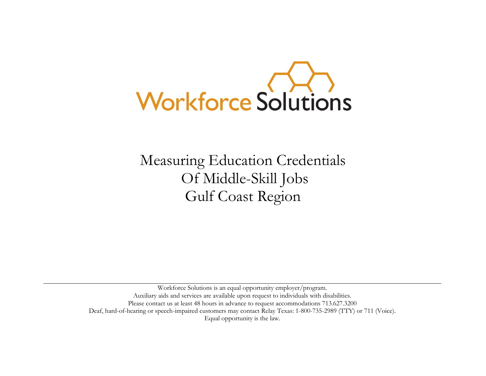

Measuring Education Credentials Of Middle-Skill Jobs Gulf Coast Region

Workforce Solutions is an equal opportunity employer/program. Auxiliary aids and services are available upon request to individuals with disabilities. Please contact us at least 48 hours in advance to request accommodations 713.627.3200 Deaf, hard-of-hearing or speech-impaired customers may contact [Relay Texas:](http://www.puc.state.tx.us/relaytexas/relay/CallTypes.aspx) 1-800-735-2989 (TTY) or 711 (Voice). [Equal opportunity is the law.](http://www.twc.state.tx.us/twcinfo/equal-opportunity.html)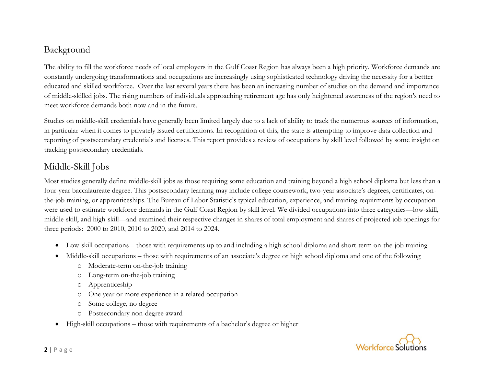# Background

The ability to fill the workforce needs of local employers in the Gulf Coast Region has always been a high priority. Workforce demands are constantly undergoing transformations and occupations are increasingly using sophisticated technology driving the necessity for a bettter educated and skilled workforce. Over the last several years there has been an increasing number of studies on the demand and importance of middle-skilled jobs. The rising numbers of individuals approaching retirement age has only heightened awareness of the region's need to meet workforce demands both now and in the future.

Studies on middle-skill credentials have generally been limited largely due to a lack of ability to track the numerous sources of information, in particular when it comes to privately issued certifications. In recognition of this, the state is attempting to improve data collection and reporting of postsecondary credentials and licenses. This report provides a review of occupations by skill level followed by some insight on tracking postsecondary credentials.

## Middle-Skill Jobs

Most studies generally define middle-skill jobs as those requiring some education and training beyond a high school diploma but less than a four-year baccalaureate degree. This postsecondary learning may include college coursework, two-year associate's degrees, certificates, onthe-job training, or apprenticeships. The Bureau of Labor Statistic's typical education, experience, and training requirments by occupation were used to estimate workforce demands in the Gulf Coast Region by skill level. We divided occupations into three categories—low-skill, middle-skill, and high-skill—and examined their respective changes in shares of total employment and shares of projected job openings for three periods: 2000 to 2010, 2010 to 2020, and 2014 to 2024.

- Low-skill occupations those with requirements up to and including a high school diploma and short-term on-the-job training
- Middle-skill occupations those with requirements of an associate's degree or high school diploma and one of the following
	- o Moderate-term on-the-job training
	- o Long-term on-the-job training
	- o Apprenticeship
	- o One year or more experience in a related occupation
	- o Some college, no degree
	- o Postsecondary non-degree award
- High-skill occupations those with requirements of a bachelor's degree or higher

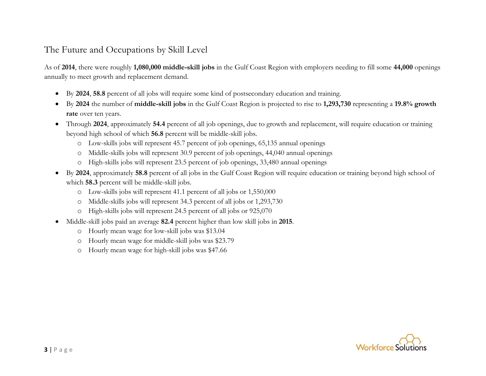## The Future and Occupations by Skill Level

As of **2014**, there were roughly **1,080,000 middle-skill jobs** in the Gulf Coast Region with employers needing to fill some **44,000** openings annually to meet growth and replacement demand.

- By **2024**, **58.8** percent of all jobs will require some kind of postsecondary education and training.
- By **2024** the number of **middle-skill jobs** in the Gulf Coast Region is projected to rise to **1,293,730** representing a **19.8% growth rate** over ten years.
- Through **2024**, approximately **54.4** percent of all job openings, due to growth and replacement, will require education or training beyond high school of which **56.8** percent will be middle-skill jobs.
	- o Low-skills jobs will represent 45.7 percent of job openings, 65,135 annual openings
	- o Middle-skills jobs will represent 30.9 percent of job openings, 44,040 annual openings
	- o High-skills jobs will represent 23.5 percent of job openings, 33,480 annual openings
- By **2024**, approximately **58.8** percent of all jobs in the Gulf Coast Region will require education or training beyond high school of which **58.3** percent will be middle-skill jobs.
	- o Low-skills jobs will represent 41.1 percent of all jobs or 1,550,000
	- o Middle-skills jobs will represent 34.3 percent of all jobs or 1,293,730
	- o High-skills jobs will represent 24.5 percent of all jobs or 925,070
- Middle-skill jobs paid an average **82.4** percent higher than low skill jobs in **2015**.
	- o Hourly mean wage for low-skill jobs was \$13.04
	- o Hourly mean wage for middle-skill jobs was \$23.79
	- o Hourly mean wage for high-skill jobs was \$47.66

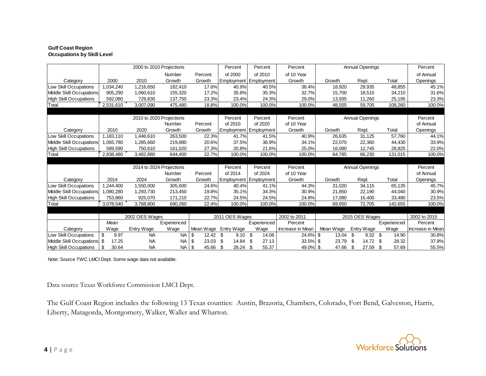#### **Gulf Coast Region Occupations by Skill Level**

|                                 | 2000 to 2010 Projections |                          |             |             | Percent<br>Percent                           |                              | Percent          | <b>Annual Openings</b> |                    |              | Percent          |  |
|---------------------------------|--------------------------|--------------------------|-------------|-------------|----------------------------------------------|------------------------------|------------------|------------------------|--------------------|--------------|------------------|--|
|                                 |                          |                          | Number      | Percent     | of 2000                                      | of 2010                      | of 10 Year       |                        |                    |              | of Annual        |  |
| Category                        | 2000                     | 2010                     | Growth      | Growth      |                                              | <b>Employment Employment</b> | Growth           | Growth                 | Repl.              | Total        | Openings         |  |
| Low Skill Occupations           | 1,034,240                | 1,216,650                | 182,410     | 17.6%       | 40.9%                                        | 40.5%                        | 38.4%            | 18,920                 | 29,935             | 48,855       | 45.1%            |  |
| <b>Middle Skill Occupations</b> | 905,290                  | 1,060,610                | 155,320     | 17.2%       | 35.8%                                        | 35.3%                        | 32.7%            | 15,700                 | 18,510             | 34,210       | 31.6%            |  |
| <b>High Skill Occupations</b>   | 592,080                  | 729,830                  | 137,750     | 23.3%       | 23.4%                                        | 24.3%                        | 29.0%            | 13,935                 | 11,260             | 25,195       | 23.3%            |  |
| Total                           | 2,531,610                | 3,007,090                | 475,480     | 18.8%       | 100.0%                                       | 100.0%                       | 100.0%           | 48,555                 | 59,705             | 108,260      | 100.0%           |  |
|                                 |                          |                          |             |             |                                              |                              |                  |                        |                    |              |                  |  |
|                                 |                          | 2010 to 2020 Projections |             |             | Percent<br>Percent                           |                              | Percent          | <b>Annual Openings</b> |                    | Percent      |                  |  |
|                                 |                          |                          | Number      | Percent     | of 2010                                      | of 2020                      | of 10 Year       |                        |                    |              | of Annual        |  |
| Category                        | 2010                     | 2020                     | Growth      | Growth      | Employment                                   | Employment                   | Growth           | Growth                 | Repl.              | Total        | Openings         |  |
| <b>Low Skill Occupations</b>    | 1,183,110                | 1,446,610                | 263,500     | 22.3%       | 41.7%                                        | 41.5%                        | 40.9%            | 26,635                 | 31,125             | 57,760       | 44.1%            |  |
| Middle Skill Occupations        | 1,065,780                | 1,285,660                | 219,880     | 20.6%       | 37.5%                                        | 36.9%                        | 34.1%            | 22,070                 | 22,360             | 44,430       | 33.9%            |  |
| <b>High Skill Occupations</b>   | 589,590                  | 750,610                  | 161,020     | 27.3%       | 20.8%                                        | 21.6%                        | 25.0%            | 16,080                 | 12,745             | 28,825       | 22.0%            |  |
| Total                           | 2,838,480                | 3,482,880                | 644,400     | 22.7%       | 100.0%                                       | 100.0%                       | 100.0%           | 64,785                 | 66,230             | 131,015      | 100.0%           |  |
|                                 |                          |                          |             |             |                                              |                              |                  |                        |                    |              |                  |  |
|                                 | 2014 to 2024 Projections |                          |             | Percent     | <b>Annual Openings</b><br>Percent<br>Percent |                              |                  | Percent                |                    |              |                  |  |
|                                 |                          |                          | Number      | Percent     | of 2014                                      | of 2024                      | of 10 Year       |                        |                    |              | of Annual        |  |
| Category                        | 2014                     | 2024                     | Growth      | Growth      | Employment                                   | Employment                   | Growth           | Growth                 | Repl.              | Total        | Openings         |  |
| Low Skill Occupations           | 1,244,400                | 1,550,000                | 305,600     | 24.6%       | 40.4%                                        | 41.1%                        | 44.3%            | 31,020                 | 34,115             | 65,135       | 45.7%            |  |
| Middle Skill Occupations        | 1,080,280                | 1,293,730                | 213,450     | 19.8%       | 35.1%                                        | 34.3%                        | 30.9%            | 21,850                 | 22,190             | 44,040       | 30.9%            |  |
| <b>High Skill Occupations</b>   | 753,860                  | 925,070                  | 171,210     | 22.7%       | 24.5%                                        | 24.5%                        | 24.8%            | 17,080                 | 16,400             | 33,480       | 23.5%            |  |
| Total                           | 3,078,540                | 3,768,800                | 690,260     | 22.4%       | 100.0%                                       | 100.0%                       | 100.0%           | 69,950                 | 72,705             | 142,655      | 100.0%           |  |
|                                 |                          |                          |             |             |                                              |                              |                  |                        |                    |              |                  |  |
|                                 |                          | 2002 OES Wages           |             |             | 2011 OES Wages                               | 2002 to 2011                 |                  | 2015 OES Wages         |                    |              | 2002 to 2015     |  |
|                                 | Mean                     |                          | Experienced |             | Experienced                                  |                              | Percent          | Experienced            |                    | Percent      |                  |  |
| Category                        | Wage                     | Entry Wage               | Wage        | Mean Wage   | Entry Wage                                   | Wage                         | Increase in Mean | Mean Wage              | Entry Wage         | Wage         | Increase in Mean |  |
| Low Skill Occupations           | \$<br>9.97               | <b>NA</b>                | <b>NA</b>   | \$<br>12.42 | \$<br>9.10                                   | \$<br>14.08                  | 24.6% \$         | 13.04                  | - \$<br>\$<br>9.32 | 14.90        | 30.8%            |  |
| Middle Skill Occupations \$     | 17.25                    | <b>NA</b>                | <b>NA</b>   | 23.03       | 14.84<br>-\$                                 | 27.13                        | 33.5%            | \$<br>23.79            | 14.72              | -\$<br>28.32 | 37.9%            |  |
| <b>High Skill Occupations</b>   | 30.64<br>\$              | <b>NA</b>                | <b>NA</b>   | 45.66<br>\$ | 26.24<br>-\$                                 | \$<br>55.37                  | 49.0% \$         | 47.66                  | 27.59<br>\$        | \$<br>57.69  | 55.5%            |  |

Note: Source TWC LMCI Dept. Some wage data not available.

Data source Texas Workforce Commission LMCI Dept.

The Gulf Coast Region includes the following 13 Texas counties: Austin, Brazoria, Chambers, Colorado, Fort Bend, Galveston, Harris, Liberty, Matagorda, Montgomery, Walker, Waller and Wharton.

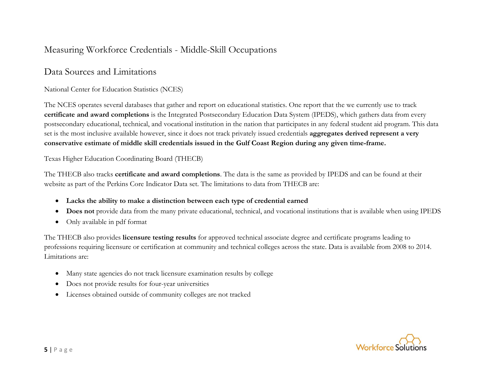## Measuring Workforce Credentials - Middle-Skill Occupations

### Data Sources and Limitations

#### National Center for Education Statistics (NCES)

The NCES operates several databases that gather and report on educational statistics. One report that the we currently use to track **certificate and award completions** is the Integrated Postsecondary Education Data System (IPEDS), which gathers data from every postsecondary educational, technical, and vocational institution in the nation that participates in any federal student aid program. This data set is the most inclusive available however, since it does not track privately issued credentials **aggregates derived represent a very conservative estimate of middle skill credentials issued in the Gulf Coast Region during any given time-frame.**

#### Texas Higher Education Coordinating Board (THECB)

The THECB also tracks **certificate and award completions**. The data is the same as provided by IPEDS and can be found at their website as part of the Perkins Core Indicator Data set. The limitations to data from THECB are:

- **Lacks the ability to make a distinction between each type of credential earned**
- **Does not** provide data from the many private educational, technical, and vocational institutions that is available when using IPEDS
- Only available in pdf format

The THECB also provides **licensure testing results** for approved technical associate degree and certificate programs leading to professions requiring licensure or certification at community and technical colleges across the state. Data is available from 2008 to 2014. Limitations are:

- Many state agencies do not track licensure examination results by college
- Does not provide results for four-year universities
- Licenses obtained outside of community colleges are not tracked

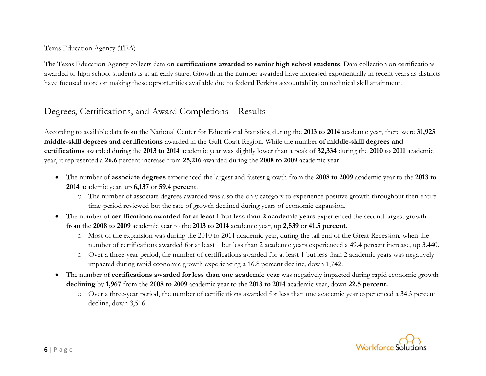Texas Education Agency (TEA)

The Texas Education Agency collects data on **certifications awarded to senior high school students**. Data collection on certifications awarded to high school students is at an early stage. Growth in the number awarded have increased exponentially in recent years as districts have focused more on making these opportunities available due to federal Perkins accountability on technical skill attainment.

### Degrees, Certifications, and Award Completions – Results

According to available data from the National Center for Educational Statistics, during the **2013 to 2014** academic year, there were **31,925 middle-skill degrees and certifications** awarded in the Gulf Coast Region. While the number **of middle-skill degrees and certifications** awarded during the **2013 to 2014** academic year was slightly lower than a peak of **32,334** during the **2010 to 2011** academic year, it represented a **26.6** percent increase from **25,216** awarded during the **2008 to 2009** academic year.

- The number of **associate degrees** experienced the largest and fastest growth from the **2008 to 2009** academic year to the **2013 to 2014** academic year, up **6,137** or **59.4 percent**.
	- o The number of associate degrees awarded was also the only category to experience positive growth throughout then entire time-period reviewed but the rate of growth declined during years of economic expansion.
- The number of **certifications awarded for at least 1 but less than 2 academic years** experienced the second largest growth from the **2008 to 2009** academic year to the **2013 to 2014** academic year, up **2,539** or **41.5 percent**.
	- o Most of the expansion was during the 2010 to 2011 academic year, during the tail end of the Great Recession, when the number of certifications awarded for at least 1 but less than 2 academic years experienced a 49.4 percent increase, up 3.440.
	- o Over a three-year period, the number of certifications awarded for at least 1 but less than 2 academic years was negatively impacted during rapid economic growth experiencing a 16.8 percent decline, down 1,742.
- The number of **certifications awarded for less than one academic year** was negatively impacted during rapid economic growth **declining** by **1,967** from the **2008 to 2009** academic year to the **2013 to 2014** academic year, down **22.5 percent.**
	- o Over a three-year period, the number of certifications awarded for less than one academic year experienced a 34.5 percent decline, down 3,516.

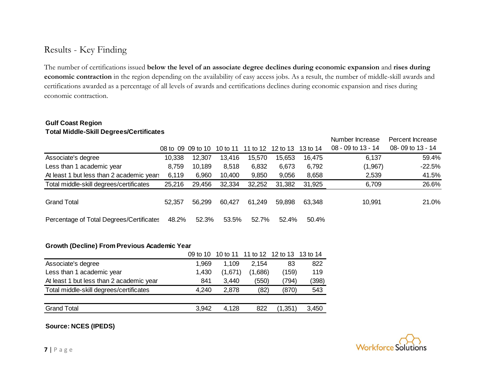### Results - Key Finding

The number of certifications issued **below the level of an associate degree declines during economic expansion** and **rises during economic contraction** in the region depending on the availability of easy access jobs. As a result, the number of middle-skill awards and certifications awarded as a percentage of all levels of awards and certifications declines during economic expansion and rises during economic contraction.

#### **Gulf Coast Region Total Middle-Skill Degrees/Certificates**

|                                           |        |                                     |        |        |          |          | Number Increase      | Percent Increase |
|-------------------------------------------|--------|-------------------------------------|--------|--------|----------|----------|----------------------|------------------|
|                                           |        | 08 to 09 09 to 10 10 to 11 11 to 12 |        |        | 12 to 13 | 13 to 14 | $08 - 09$ to 13 - 14 | 08-09 to 13 - 14 |
| Associate's degree                        | 10,338 | 12,307                              | 13,416 | 15,570 | 15,653   | 16.475   | 6,137                | 59.4%            |
| Less than 1 academic year                 | 8,759  | 10,189                              | 8,518  | 6,832  | 6,673    | 6,792    | (1,967)              | $-22.5%$         |
| At least 1 but less than 2 academic years | 6,119  | 6,960                               | 10,400 | 9,850  | 9,056    | 8,658    | 2,539                | 41.5%            |
| Total middle-skill degrees/certificates   | 25,216 | 29,456                              | 32,334 | 32,252 | 31,382   | 31,925   | 6,709                | 26.6%            |
| <b>Grand Total</b>                        | 52,357 | 56,299                              | 60,427 | 61,249 | 59,898   | 63,348   | 10,991               | 21.0%            |
| Percentage of Total Degrees/Certificates  | 48.2%  | 52.3%                               | 53.5%  | 52.7%  | 52.4%    | 50.4%    |                      |                  |

#### **Growth (Decline) From Previous Academic Year**

|                                          |       | 09 to 10 10 to 11 11 to 12 12 to 13 13 to 14 |         |         |       |
|------------------------------------------|-------|----------------------------------------------|---------|---------|-------|
| Associate's degree                       | 1,969 | 1,109                                        | 2.154   | 83      | 822   |
| Less than 1 academic year                | 1,430 | (1,671)                                      | (1,686) | (159)   | 119   |
| At least 1 but less than 2 academic year | 841   | 3,440                                        | (550)   | (794)   | (398) |
| Total middle-skill degrees/certificates  | 4,240 | 2,878                                        | (82)    | (870)   | 543   |
|                                          |       |                                              |         |         |       |
| <b>Grand Total</b>                       | 3,942 | 4,128                                        | 822     | (1,351) | 3,450 |
|                                          |       |                                              |         |         |       |

**Source: NCES (IPEDS)** 

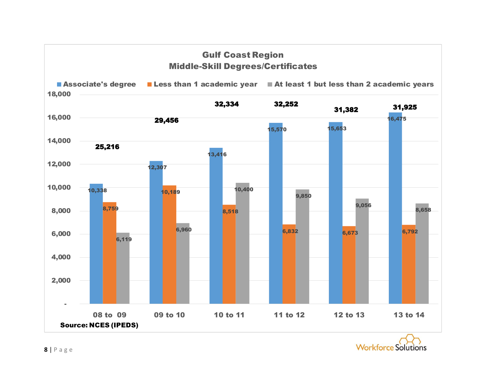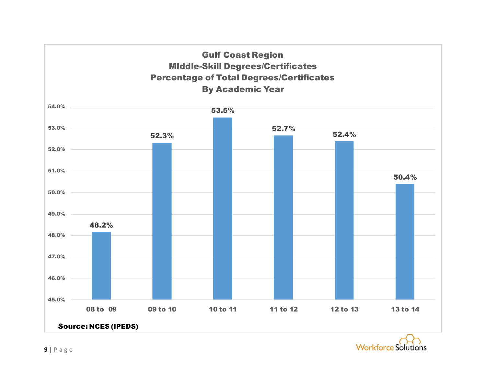

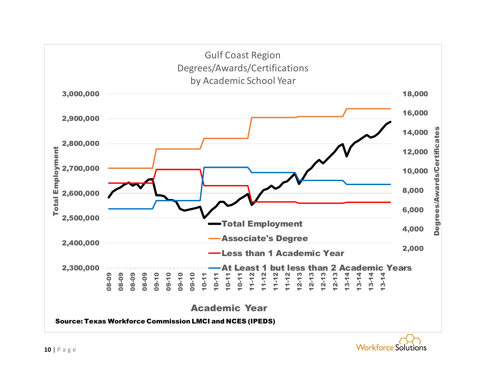

![](_page_9_Picture_1.jpeg)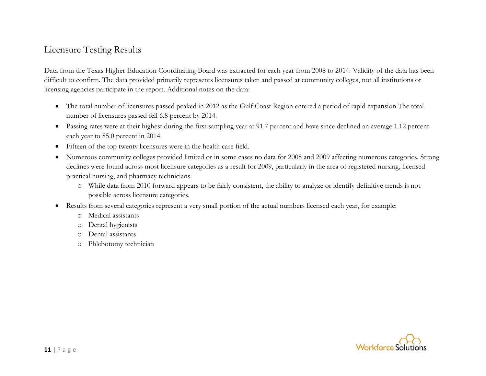### Licensure Testing Results

Data from the Texas Higher Education Coordinating Board was extracted for each year from 2008 to 2014. Validity of the data has been difficult to confirm. The data provided primarily represents licensures taken and passed at community colleges, not all institutions or licensing agencies participate in the report. Additional notes on the data:

- The total number of licensures passed peaked in 2012 as the Gulf Coast Region entered a period of rapid expansion.The total number of licensures passed fell 6.8 percent by 2014.
- Passing rates were at their highest during the first sampling year at 91.7 percent and have since declined an average 1.12 percent each year to 85.0 percent in 2014.
- Fifteen of the top twenty licensures were in the health care field.
- Numerous community colleges provided limited or in some cases no data for 2008 and 2009 affecting numerous categories. Strong declines were found across most licensure categories as a result for 2009, particularly in the area of registered nursing, licensed practical nursing, and pharmacy technicians.
	- o While data from 2010 forward appears to be fairly consistent, the ability to analyze or identify definitive trends is not possible across licensure categories.
- Results from several categories represent a very small portion of the actual numbers licensed each year, for example:
	- o Medical assistants
	- o Dental hygienists
	- o Dental assistants
	- o Phlebotomy technician

![](_page_10_Picture_12.jpeg)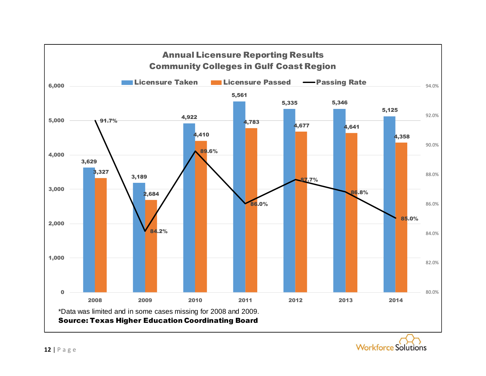![](_page_11_Figure_0.jpeg)

![](_page_11_Picture_1.jpeg)